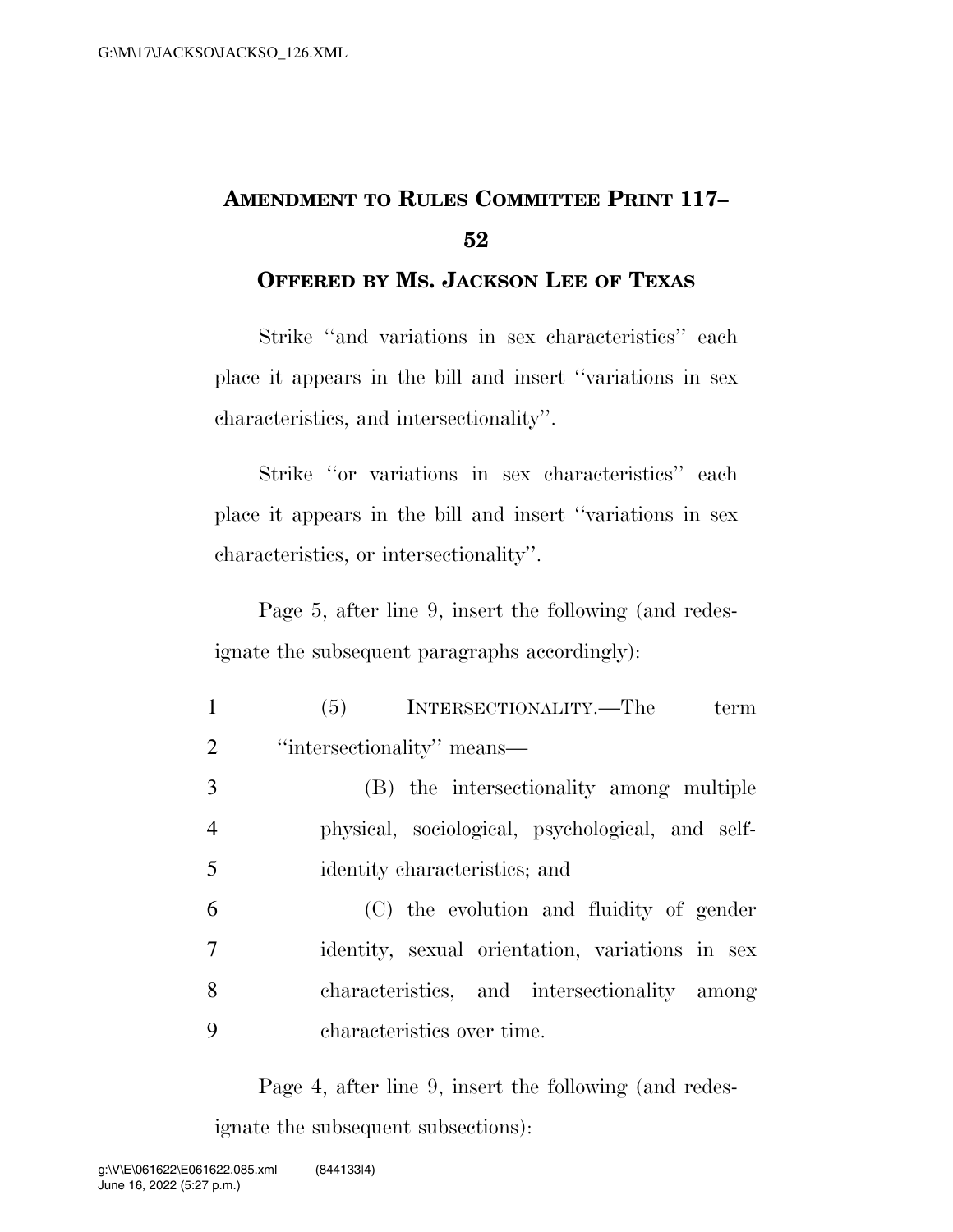## **AMENDMENT TO RULES COMMITTEE PRINT 117– 52**

## **OFFERED BY MS. JACKSON LEE OF TEXAS**

Strike ''and variations in sex characteristics'' each place it appears in the bill and insert ''variations in sex characteristics, and intersectionality''.

Strike ''or variations in sex characteristics'' each place it appears in the bill and insert ''variations in sex characteristics, or intersectionality''.

Page 5, after line 9, insert the following (and redesignate the subsequent paragraphs accordingly):

| $\mathbf{1}$   | (5) INTERSECTIONALITY.—The<br>term               |
|----------------|--------------------------------------------------|
| $\overline{2}$ | "intersectionality" means—                       |
| 3              | (B) the intersectionality among multiple         |
| 4              | physical, sociological, psychological, and self- |
| 5              | identity characteristics; and                    |
| 6              | (C) the evolution and fluidity of gender         |
| 7              | identity, sexual orientation, variations in sex  |
| 8              | characteristics, and intersectionality among     |
| 9              | characteristics over time.                       |

Page 4, after line 9, insert the following (and redesignate the subsequent subsections):